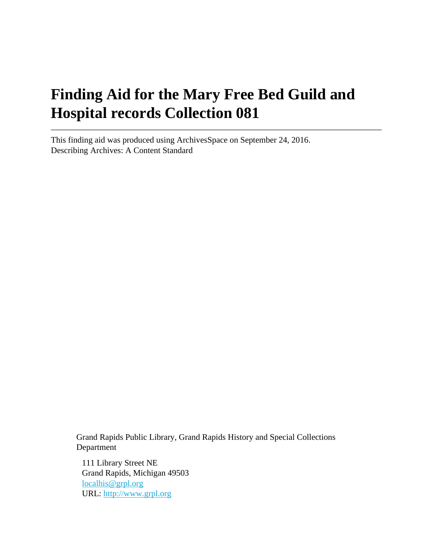# **Finding Aid for the Mary Free Bed Guild and Hospital records Collection 081**

This finding aid was produced using ArchivesSpace on September 24, 2016. Describing Archives: A Content Standard

Grand Rapids Public Library, Grand Rapids History and Special Collections Department

111 Library Street NE Grand Rapids, Michigan 49503 [localhis@grpl.org](mailto:localhis@grpl.org) URL:<http://www.grpl.org>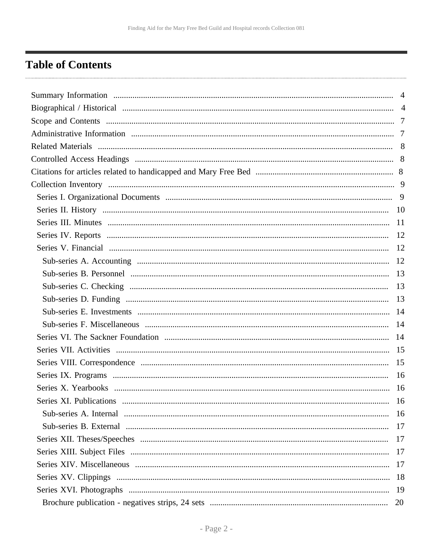## <span id="page-1-0"></span>**Table of Contents**

| 16  |
|-----|
|     |
|     |
|     |
| 17  |
|     |
| -18 |
| -19 |
| 20  |
|     |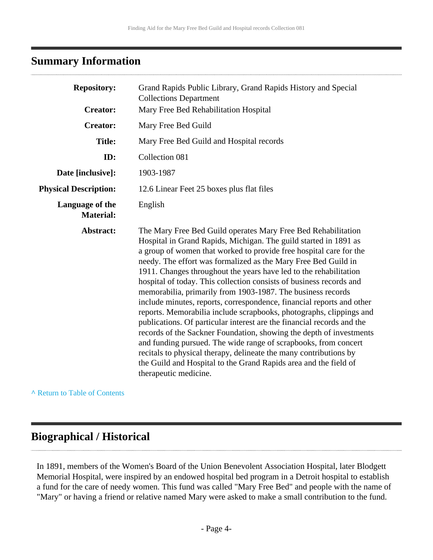## <span id="page-3-0"></span>**Summary Information**

| <b>Repository:</b>                  | Grand Rapids Public Library, Grand Rapids History and Special<br><b>Collections Department</b>                                                                                                                                                                                                                                                                                                                                                                                                                                                                                                                                                                                                                                                                                                                                                                                                                                                                                                                             |
|-------------------------------------|----------------------------------------------------------------------------------------------------------------------------------------------------------------------------------------------------------------------------------------------------------------------------------------------------------------------------------------------------------------------------------------------------------------------------------------------------------------------------------------------------------------------------------------------------------------------------------------------------------------------------------------------------------------------------------------------------------------------------------------------------------------------------------------------------------------------------------------------------------------------------------------------------------------------------------------------------------------------------------------------------------------------------|
| <b>Creator:</b>                     | Mary Free Bed Rehabilitation Hospital                                                                                                                                                                                                                                                                                                                                                                                                                                                                                                                                                                                                                                                                                                                                                                                                                                                                                                                                                                                      |
| <b>Creator:</b>                     | Mary Free Bed Guild                                                                                                                                                                                                                                                                                                                                                                                                                                                                                                                                                                                                                                                                                                                                                                                                                                                                                                                                                                                                        |
| <b>Title:</b>                       | Mary Free Bed Guild and Hospital records                                                                                                                                                                                                                                                                                                                                                                                                                                                                                                                                                                                                                                                                                                                                                                                                                                                                                                                                                                                   |
| ID:                                 | Collection 081                                                                                                                                                                                                                                                                                                                                                                                                                                                                                                                                                                                                                                                                                                                                                                                                                                                                                                                                                                                                             |
| Date [inclusive]:                   | 1903-1987                                                                                                                                                                                                                                                                                                                                                                                                                                                                                                                                                                                                                                                                                                                                                                                                                                                                                                                                                                                                                  |
| <b>Physical Description:</b>        | 12.6 Linear Feet 25 boxes plus flat files                                                                                                                                                                                                                                                                                                                                                                                                                                                                                                                                                                                                                                                                                                                                                                                                                                                                                                                                                                                  |
| Language of the<br><b>Material:</b> | English                                                                                                                                                                                                                                                                                                                                                                                                                                                                                                                                                                                                                                                                                                                                                                                                                                                                                                                                                                                                                    |
| Abstract:                           | The Mary Free Bed Guild operates Mary Free Bed Rehabilitation<br>Hospital in Grand Rapids, Michigan. The guild started in 1891 as<br>a group of women that worked to provide free hospital care for the<br>needy. The effort was formalized as the Mary Free Bed Guild in<br>1911. Changes throughout the years have led to the rehabilitation<br>hospital of today. This collection consists of business records and<br>memorabilia, primarily from 1903-1987. The business records<br>include minutes, reports, correspondence, financial reports and other<br>reports. Memorabilia include scrapbooks, photographs, clippings and<br>publications. Of particular interest are the financial records and the<br>records of the Sackner Foundation, showing the depth of investments<br>and funding pursued. The wide range of scrapbooks, from concert<br>recitals to physical therapy, delineate the many contributions by<br>the Guild and Hospital to the Grand Rapids area and the field of<br>therapeutic medicine. |

**^** [Return to Table of Contents](#page-1-0)

## <span id="page-3-1"></span>**Biographical / Historical**

In 1891, members of the Women's Board of the Union Benevolent Association Hospital, later Blodgett Memorial Hospital, were inspired by an endowed hospital bed program in a Detroit hospital to establish a fund for the care of needy women. This fund was called "Mary Free Bed" and people with the name of "Mary" or having a friend or relative named Mary were asked to make a small contribution to the fund.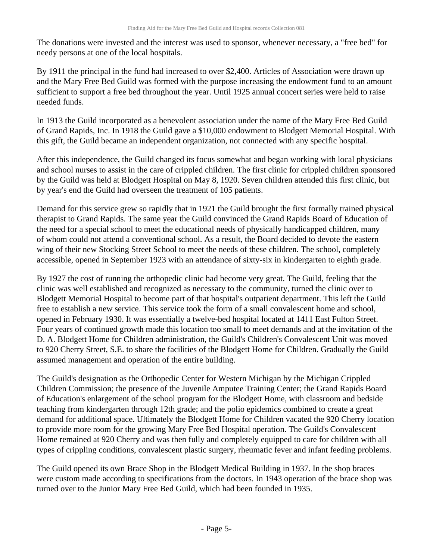The donations were invested and the interest was used to sponsor, whenever necessary, a "free bed" for needy persons at one of the local hospitals.

By 1911 the principal in the fund had increased to over \$2,400. Articles of Association were drawn up and the Mary Free Bed Guild was formed with the purpose increasing the endowment fund to an amount sufficient to support a free bed throughout the year. Until 1925 annual concert series were held to raise needed funds.

In 1913 the Guild incorporated as a benevolent association under the name of the Mary Free Bed Guild of Grand Rapids, Inc. In 1918 the Guild gave a \$10,000 endowment to Blodgett Memorial Hospital. With this gift, the Guild became an independent organization, not connected with any specific hospital.

After this independence, the Guild changed its focus somewhat and began working with local physicians and school nurses to assist in the care of crippled children. The first clinic for crippled children sponsored by the Guild was held at Blodgett Hospital on May 8, 1920. Seven children attended this first clinic, but by year's end the Guild had overseen the treatment of 105 patients.

Demand for this service grew so rapidly that in 1921 the Guild brought the first formally trained physical therapist to Grand Rapids. The same year the Guild convinced the Grand Rapids Board of Education of the need for a special school to meet the educational needs of physically handicapped children, many of whom could not attend a conventional school. As a result, the Board decided to devote the eastern wing of their new Stocking Street School to meet the needs of these children. The school, completely accessible, opened in September 1923 with an attendance of sixty-six in kindergarten to eighth grade.

By 1927 the cost of running the orthopedic clinic had become very great. The Guild, feeling that the clinic was well established and recognized as necessary to the community, turned the clinic over to Blodgett Memorial Hospital to become part of that hospital's outpatient department. This left the Guild free to establish a new service. This service took the form of a small convalescent home and school, opened in February 1930. It was essentially a twelve-bed hospital located at 1411 East Fulton Street. Four years of continued growth made this location too small to meet demands and at the invitation of the D. A. Blodgett Home for Children administration, the Guild's Children's Convalescent Unit was moved to 920 Cherry Street, S.E. to share the facilities of the Blodgett Home for Children. Gradually the Guild assumed management and operation of the entire building.

The Guild's designation as the Orthopedic Center for Western Michigan by the Michigan Crippled Children Commission; the presence of the Juvenile Amputee Training Center; the Grand Rapids Board of Education's enlargement of the school program for the Blodgett Home, with classroom and bedside teaching from kindergarten through 12th grade; and the polio epidemics combined to create a great demand for additional space. Ultimately the Blodgett Home for Children vacated the 920 Cherry location to provide more room for the growing Mary Free Bed Hospital operation. The Guild's Convalescent Home remained at 920 Cherry and was then fully and completely equipped to care for children with all types of crippling conditions, convalescent plastic surgery, rheumatic fever and infant feeding problems.

The Guild opened its own Brace Shop in the Blodgett Medical Building in 1937. In the shop braces were custom made according to specifications from the doctors. In 1943 operation of the brace shop was turned over to the Junior Mary Free Bed Guild, which had been founded in 1935.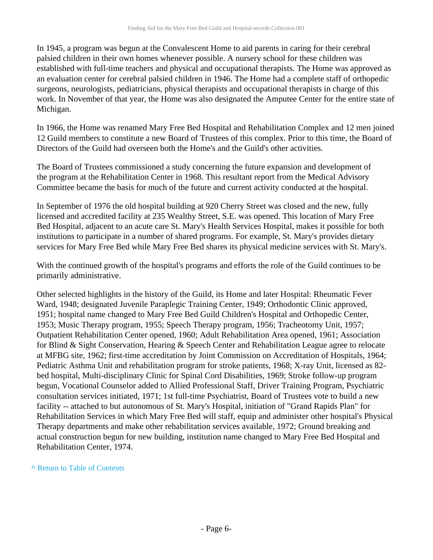In 1945, a program was begun at the Convalescent Home to aid parents in caring for their cerebral palsied children in their own homes whenever possible. A nursery school for these children was established with full-time teachers and physical and occupational therapists. The Home was approved as an evaluation center for cerebral palsied children in 1946. The Home had a complete staff of orthopedic surgeons, neurologists, pediatricians, physical therapists and occupational therapists in charge of this work. In November of that year, the Home was also designated the Amputee Center for the entire state of Michigan.

In 1966, the Home was renamed Mary Free Bed Hospital and Rehabilitation Complex and 12 men joined 12 Guild members to constitute a new Board of Trustees of this complex. Prior to this time, the Board of Directors of the Guild had overseen both the Home's and the Guild's other activities.

The Board of Trustees commissioned a study concerning the future expansion and development of the program at the Rehabilitation Center in 1968. This resultant report from the Medical Advisory Committee became the basis for much of the future and current activity conducted at the hospital.

In September of 1976 the old hospital building at 920 Cherry Street was closed and the new, fully licensed and accredited facility at 235 Wealthy Street, S.E. was opened. This location of Mary Free Bed Hospital, adjacent to an acute care St. Mary's Health Services Hospital, makes it possible for both institutions to participate in a number of shared programs. For example, St. Mary's provides dietary services for Mary Free Bed while Mary Free Bed shares its physical medicine services with St. Mary's.

With the continued growth of the hospital's programs and efforts the role of the Guild continues to be primarily administrative.

Other selected highlights in the history of the Guild, its Home and later Hospital: Rheumatic Fever Ward, 1948; designated Juvenile Paraplegic Training Center, 1949; Orthodontic Clinic approved, 1951; hospital name changed to Mary Free Bed Guild Children's Hospital and Orthopedic Center, 1953; Music Therapy program, 1955; Speech Therapy program, 1956; Tracheotomy Unit, 1957; Outpatient Rehabilitation Center opened, 1960; Adult Rehabilitation Area opened, 1961; Association for Blind & Sight Conservation, Hearing & Speech Center and Rehabilitation League agree to relocate at MFBG site, 1962; first-time accreditation by Joint Commission on Accreditation of Hospitals, 1964; Pediatric Asthma Unit and rehabilitation program for stroke patients, 1968; X-ray Unit, licensed as 82 bed hospital, Multi-disciplinary Clinic for Spinal Cord Disabilities, 1969; Stroke follow-up program begun, Vocational Counselor added to Allied Professional Staff, Driver Training Program, Psychiatric consultation services initiated, 1971; 1st full-time Psychiatrist, Board of Trustees vote to build a new facility -- attached to but autonomous of St. Mary's Hospital, initiation of "Grand Rapids Plan" for Rehabilitation Services in which Mary Free Bed will staff, equip and administer other hospital's Physical Therapy departments and make other rehabilitation services available, 1972; Ground breaking and actual construction begun for new building, institution name changed to Mary Free Bed Hospital and Rehabilitation Center, 1974.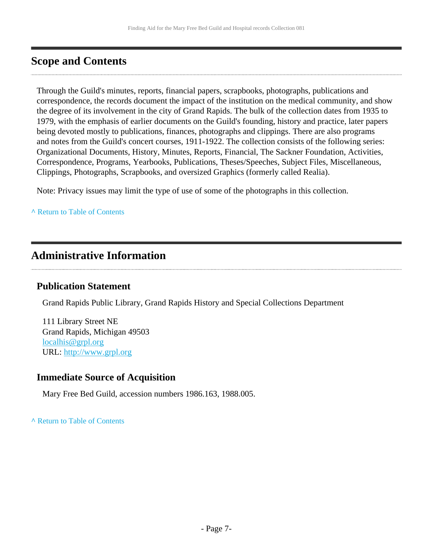## <span id="page-6-0"></span>**Scope and Contents**

Through the Guild's minutes, reports, financial papers, scrapbooks, photographs, publications and correspondence, the records document the impact of the institution on the medical community, and show the degree of its involvement in the city of Grand Rapids. The bulk of the collection dates from 1935 to 1979, with the emphasis of earlier documents on the Guild's founding, history and practice, later papers being devoted mostly to publications, finances, photographs and clippings. There are also programs and notes from the Guild's concert courses, 1911-1922. The collection consists of the following series: Organizational Documents, History, Minutes, Reports, Financial, The Sackner Foundation, Activities, Correspondence, Programs, Yearbooks, Publications, Theses/Speeches, Subject Files, Miscellaneous, Clippings, Photographs, Scrapbooks, and oversized Graphics (formerly called Realia).

Note: Privacy issues may limit the type of use of some of the photographs in this collection.

**^** [Return to Table of Contents](#page-1-0)

## <span id="page-6-1"></span>**Administrative Information**

## **Publication Statement**

Grand Rapids Public Library, Grand Rapids History and Special Collections Department

111 Library Street NE Grand Rapids, Michigan 49503 [localhis@grpl.org](mailto:localhis@grpl.org) URL:<http://www.grpl.org>

## **Immediate Source of Acquisition**

Mary Free Bed Guild, accession numbers 1986.163, 1988.005.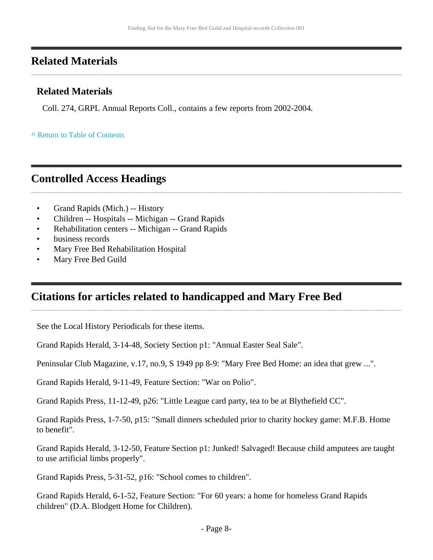## <span id="page-7-0"></span>**Related Materials**

## **Related Materials**

Coll. 274, GRPL Annual Reports Coll., contains a few reports from 2002-2004.

### **^** [Return to Table of Contents](#page-1-0)

## <span id="page-7-1"></span>**Controlled Access Headings**

- Grand Rapids (Mich.) -- History
- Children -- Hospitals -- Michigan -- Grand Rapids
- Rehabilitation centers -- Michigan -- Grand Rapids
- business records
- Mary Free Bed Rehabilitation Hospital
- Mary Free Bed Guild

## <span id="page-7-2"></span>**Citations for articles related to handicapped and Mary Free Bed**

See the Local History Periodicals for these items.

Grand Rapids Herald, 3-14-48, Society Section p1: "Annual Easter Seal Sale".

Peninsular Club Magazine, v.17, no.9, S 1949 pp 8-9: "Mary Free Bed Home: an idea that grew ...".

Grand Rapids Herald, 9-11-49, Feature Section: "War on Polio".

Grand Rapids Press, 11-12-49, p26: "Little League card party, tea to be at Blythefield CC".

Grand Rapids Press, 1-7-50, p15: "Small dinners scheduled prior to charity hockey game: M.F.B. Home to benefit".

Grand Rapids Herald, 3-12-50, Feature Section p1: Junked! Salvaged! Because child amputees are taught to use artificial limbs properly".

Grand Rapids Press, 5-31-52, p16: "School comes to children".

Grand Rapids Herald, 6-1-52, Feature Section: "For 60 years: a home for homeless Grand Rapids children" (D.A. Blodgett Home for Children).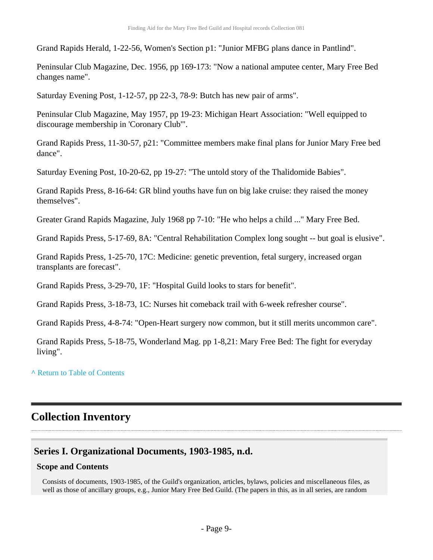Grand Rapids Herald, 1-22-56, Women's Section p1: "Junior MFBG plans dance in Pantlind".

Peninsular Club Magazine, Dec. 1956, pp 169-173: "Now a national amputee center, Mary Free Bed changes name".

Saturday Evening Post, 1-12-57, pp 22-3, 78-9: Butch has new pair of arms".

Peninsular Club Magazine, May 1957, pp 19-23: Michigan Heart Association: "Well equipped to discourage membership in 'Coronary Club'".

Grand Rapids Press, 11-30-57, p21: "Committee members make final plans for Junior Mary Free bed dance".

Saturday Evening Post, 10-20-62, pp 19-27: "The untold story of the Thalidomide Babies".

Grand Rapids Press, 8-16-64: GR blind youths have fun on big lake cruise: they raised the money themselves".

Greater Grand Rapids Magazine, July 1968 pp 7-10: "He who helps a child ..." Mary Free Bed.

Grand Rapids Press, 5-17-69, 8A: "Central Rehabilitation Complex long sought -- but goal is elusive".

Grand Rapids Press, 1-25-70, 17C: Medicine: genetic prevention, fetal surgery, increased organ transplants are forecast".

Grand Rapids Press, 3-29-70, 1F: "Hospital Guild looks to stars for benefit".

Grand Rapids Press, 3-18-73, 1C: Nurses hit comeback trail with 6-week refresher course".

Grand Rapids Press, 4-8-74: "Open-Heart surgery now common, but it still merits uncommon care".

Grand Rapids Press, 5-18-75, Wonderland Mag. pp 1-8,21: Mary Free Bed: The fight for everyday living".

**^** [Return to Table of Contents](#page-1-0)

## <span id="page-8-0"></span>**Collection Inventory**

## <span id="page-8-1"></span>**Series I. Organizational Documents, 1903-1985, n.d.**

### **Scope and Contents**

Consists of documents, 1903-1985, of the Guild's organization, articles, bylaws, policies and miscellaneous files, as well as those of ancillary groups, e.g., Junior Mary Free Bed Guild. (The papers in this, as in all series, are random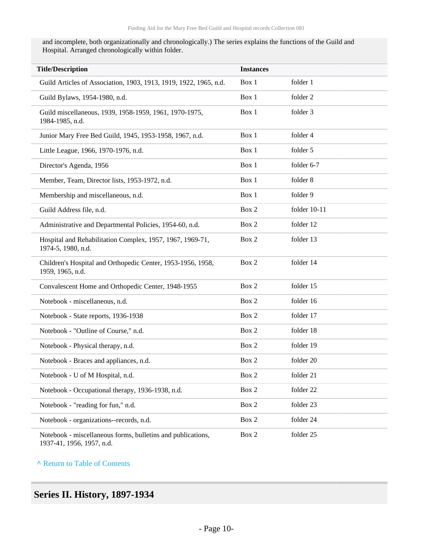and incomplete, both organizationally and chronologically.) The series explains the functions of the Guild and Hospital. Arranged chronologically within folder.

| <b>Title/Description</b>                                                                 | <b>Instances</b> |              |
|------------------------------------------------------------------------------------------|------------------|--------------|
| Guild Articles of Association, 1903, 1913, 1919, 1922, 1965, n.d.                        | Box 1            | folder 1     |
| Guild Bylaws, 1954-1980, n.d.                                                            | Box 1            | folder 2     |
| Guild miscellaneous, 1939, 1958-1959, 1961, 1970-1975,<br>1984-1985, n.d.                | Box 1            | folder 3     |
| Junior Mary Free Bed Guild, 1945, 1953-1958, 1967, n.d.                                  | Box 1            | folder 4     |
| Little League, 1966, 1970-1976, n.d.                                                     | Box 1            | folder 5     |
| Director's Agenda, 1956                                                                  | Box 1            | folder 6-7   |
| Member, Team, Director lists, 1953-1972, n.d.                                            | Box 1            | folder 8     |
| Membership and miscellaneous, n.d.                                                       | Box 1            | folder 9     |
| Guild Address file, n.d.                                                                 | Box 2            | folder 10-11 |
| Administrative and Departmental Policies, 1954-60, n.d.                                  | Box 2            | folder 12    |
| Hospital and Rehabilitation Complex, 1957, 1967, 1969-71,<br>1974-5, 1980, n.d.          | Box 2            | folder 13    |
| Children's Hospital and Orthopedic Center, 1953-1956, 1958,<br>1959, 1965, n.d.          | Box 2            | folder 14    |
| Convalescent Home and Orthopedic Center, 1948-1955                                       | Box 2            | folder 15    |
| Notebook - miscellaneous, n.d.                                                           | Box 2            | folder 16    |
| Notebook - State reports, 1936-1938                                                      | Box 2            | folder 17    |
| Notebook - "Outline of Course," n.d.                                                     | Box 2            | folder 18    |
| Notebook - Physical therapy, n.d.                                                        | Box 2            | folder 19    |
| Notebook - Braces and appliances, n.d.                                                   | Box 2            | folder 20    |
| Notebook - U of M Hospital, n.d.                                                         | Box 2            | folder 21    |
| Notebook - Occupational therapy, 1936-1938, n.d.                                         | Box 2            | folder 22    |
| Notebook - "reading for fun," n.d.                                                       | Box 2            | folder 23    |
| Notebook - organizations--records, n.d.                                                  | Box 2            | folder 24    |
| Notebook - miscellaneous forms, bulletins and publications,<br>1937-41, 1956, 1957, n.d. | Box 2            | folder 25    |

**^** [Return to Table of Contents](#page-1-0)

## <span id="page-9-0"></span>**Series II. History, 1897-1934**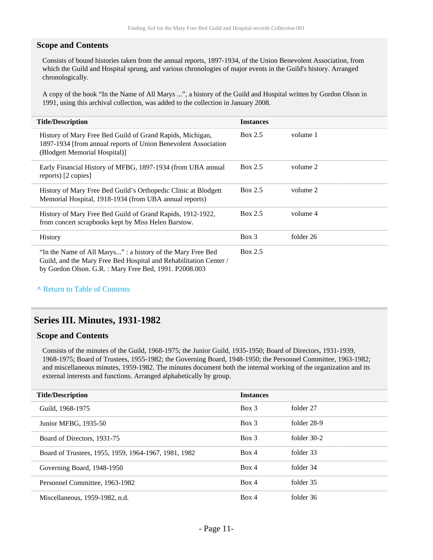#### **Scope and Contents**

Consists of bound histories taken from the annual reports, 1897-1934, of the Union Benevolent Association, from which the Guild and Hospital sprung, and various chronologies of major events in the Guild's history. Arranged chronologically.

A copy of the book "In the Name of All Marys ...", a history of the Guild and Hospital written by Gordon Olson in 1991, using this archival collection, was added to the collection in January 2008.

| <b>Title/Description</b>                                                                                                                                                                   | <b>Instances</b> |           |
|--------------------------------------------------------------------------------------------------------------------------------------------------------------------------------------------|------------------|-----------|
| History of Mary Free Bed Guild of Grand Rapids, Michigan,<br>1897-1934 [from annual reports of Union Benevolent Association<br>(Blodgett Memorial Hospital)]                               | Box 2.5          | volume 1  |
| Early Financial History of MFBG, 1897-1934 (from UBA annual<br>reports) [2 copies]                                                                                                         | Box 2.5          | volume 2  |
| History of Mary Free Bed Guild's Orthopedic Clinic at Blodgett<br>Memorial Hospital, 1918-1934 (from UBA annual reports)                                                                   | Box 2.5          | volume 2  |
| History of Mary Free Bed Guild of Grand Rapids, 1912-1922,<br>from concert scrapbooks kept by Miss Helen Barstow.                                                                          | Box 2.5          | volume 4  |
| <b>History</b>                                                                                                                                                                             | $Box\ 3$         | folder 26 |
| "In the Name of All Marys" : a history of the Mary Free Bed<br>Guild, and the Mary Free Bed Hospital and Rehabilitation Center /<br>by Gordon Olson. G.R. : Mary Free Bed, 1991. P2008.003 | Box 2.5          |           |

**^** [Return to Table of Contents](#page-1-0)

## <span id="page-10-0"></span>**Series III. Minutes, 1931-1982**

#### **Scope and Contents**

Consists of the minutes of the Guild, 1968-1975; the Junior Guild, 1935-1950; Board of Directors, 1931-1939, 1968-1975; Board of Trustees, 1955-1982; the Governing Board, 1948-1950; the Personnel Committee, 1963-1982; and miscellaneous minutes, 1959-1982. The minutes document both the internal working of the organization and its external interests and functions. Arranged alphabetically by group.

| <b>Title/Description</b>                             | <b>Instances</b> |               |  |
|------------------------------------------------------|------------------|---------------|--|
| Guild, 1968-1975                                     | Box 3            | folder 27     |  |
| Junior MFBG, 1935-50                                 | $Box\ 3$         | folder 28-9   |  |
| Board of Directors, 1931-75                          | $Box$ 3          | folder $30-2$ |  |
| Board of Trustees, 1955, 1959, 1964-1967, 1981, 1982 | Box 4            | folder 33     |  |
| Governing Board, 1948-1950                           | Box 4            | folder 34     |  |
| Personnel Committee, 1963-1982                       | Box 4            | folder 35     |  |
| Miscellaneous, 1959-1982, n.d.                       | Box 4            | folder 36     |  |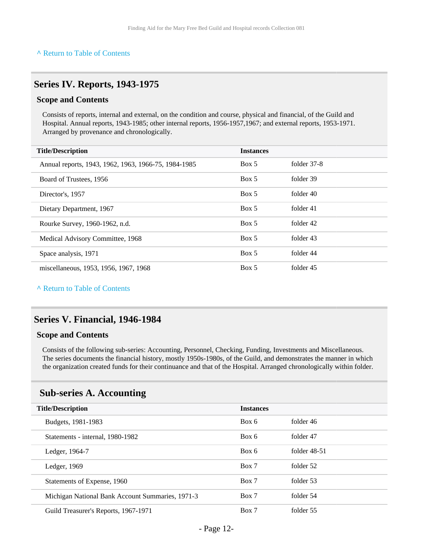## <span id="page-11-0"></span>**Series IV. Reports, 1943-1975**

#### **Scope and Contents**

Consists of reports, internal and external, on the condition and course, physical and financial, of the Guild and Hospital. Annual reports, 1943-1985; other internal reports, 1956-1957,1967; and external reports, 1953-1971. Arranged by provenance and chronologically.

| <b>Title/Description</b><br><b>Instances</b>                                 |  |
|------------------------------------------------------------------------------|--|
| folder 37-8<br>Box 5<br>Annual reports, 1943, 1962, 1963, 1966-75, 1984-1985 |  |
| Box 5<br>folder 39<br>Board of Trustees, 1956                                |  |
| folder 40<br>Box 5<br>Director's, 1957                                       |  |
| Box 5<br>folder 41<br>Dietary Department, 1967                               |  |
| Box 5<br>folder 42<br>Rourke Survey, 1960-1962, n.d.                         |  |
| Box 5<br>folder 43<br>Medical Advisory Committee, 1968                       |  |
| Box 5<br>folder 44<br>Space analysis, 1971                                   |  |
| folder 45<br>Box 5<br>miscellaneous, 1953, 1956, 1967, 1968                  |  |

#### **^** [Return to Table of Contents](#page-1-0)

## <span id="page-11-1"></span>**Series V. Financial, 1946-1984**

#### **Scope and Contents**

Consists of the following sub-series: Accounting, Personnel, Checking, Funding, Investments and Miscellaneous. The series documents the financial history, mostly 1950s-1980s, of the Guild, and demonstrates the manner in which the organization created funds for their continuance and that of the Hospital. Arranged chronologically within folder.

### <span id="page-11-2"></span>**Sub-series A. Accounting**

| <b>Title/Description</b>                         | <b>Instances</b> |                |
|--------------------------------------------------|------------------|----------------|
| Budgets, 1981-1983                               | Box 6            | folder 46      |
| Statements - internal, 1980-1982                 | Box 6            | folder 47      |
| Ledger, 1964-7                                   | Box 6            | folder $48-51$ |
| Ledger, $1969$                                   | Box 7            | folder 52      |
| Statements of Expense, 1960                      | Box 7            | folder 53      |
| Michigan National Bank Account Summaries, 1971-3 | Box 7            | folder 54      |
| Guild Treasurer's Reports, 1967-1971             | Box 7            | folder 55      |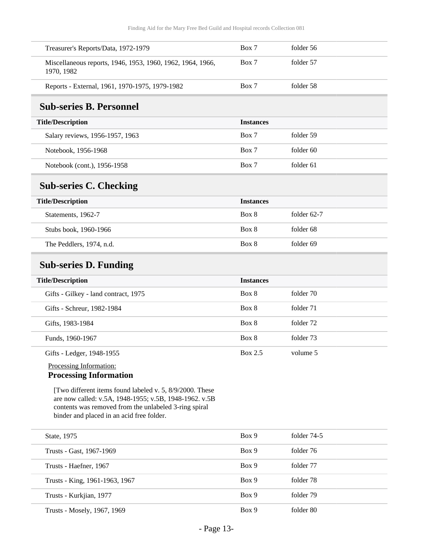<span id="page-12-2"></span><span id="page-12-1"></span><span id="page-12-0"></span>

| Treasurer's Reports/Data, 1972-1979                                                                                                                                                                                      | Box 7            | folder 56   |
|--------------------------------------------------------------------------------------------------------------------------------------------------------------------------------------------------------------------------|------------------|-------------|
| Miscellaneous reports, 1946, 1953, 1960, 1962, 1964, 1966,<br>1970, 1982                                                                                                                                                 | Box 7            | folder 57   |
| Reports - External, 1961, 1970-1975, 1979-1982                                                                                                                                                                           | Box 7            | folder 58   |
| <b>Sub-series B. Personnel</b>                                                                                                                                                                                           |                  |             |
| <b>Title/Description</b>                                                                                                                                                                                                 | <b>Instances</b> |             |
| Salary reviews, 1956-1957, 1963                                                                                                                                                                                          | Box 7            | folder 59   |
| Notebook, 1956-1968                                                                                                                                                                                                      | Box 7            | folder 60   |
| Notebook (cont.), 1956-1958                                                                                                                                                                                              | Box 7            | folder 61   |
| <b>Sub-series C. Checking</b>                                                                                                                                                                                            |                  |             |
| <b>Title/Description</b>                                                                                                                                                                                                 | <b>Instances</b> |             |
| Statements, 1962-7                                                                                                                                                                                                       | Box 8            | folder 62-7 |
| Stubs book, 1960-1966                                                                                                                                                                                                    | Box 8            | folder 68   |
| The Peddlers, 1974, n.d.                                                                                                                                                                                                 | Box 8            | folder 69   |
| <b>Sub-series D. Funding</b>                                                                                                                                                                                             |                  |             |
| <b>Title/Description</b>                                                                                                                                                                                                 | <b>Instances</b> |             |
| Gifts - Gilkey - land contract, 1975                                                                                                                                                                                     | Box 8            | folder 70   |
| Gifts - Schreur, 1982-1984                                                                                                                                                                                               | Box 8            | folder 71   |
| Gifts, 1983-1984                                                                                                                                                                                                         | Box 8            | folder 72   |
| Funds, 1960-1967                                                                                                                                                                                                         | Box 8            | folder 73   |
| Gifts - Ledger, 1948-1955                                                                                                                                                                                                | Box 2.5          | volume 5    |
| Processing Information:<br><b>Processing Information</b>                                                                                                                                                                 |                  |             |
| [Two different items found labeled v. 5, 8/9/2000. These<br>are now called: v.5A, 1948-1955; v.5B, 1948-1962. v.5B<br>contents was removed from the unlabeled 3-ring spiral<br>binder and placed in an acid free folder. |                  |             |
| State, 1975                                                                                                                                                                                                              | Box 9            | folder 74-5 |
| Trusts - Gast, 1967-1969                                                                                                                                                                                                 | Box 9            | folder 76   |
| Trusts - Haefner, 1967                                                                                                                                                                                                   | Box 9            | folder 77   |
| Trusts - King, 1961-1963, 1967                                                                                                                                                                                           | Box 9            | folder 78   |
| Trusts - Kurkjian, 1977                                                                                                                                                                                                  | Box 9            | folder 79   |
| Trusts - Mosely, 1967, 1969                                                                                                                                                                                              | Box 9            | folder 80   |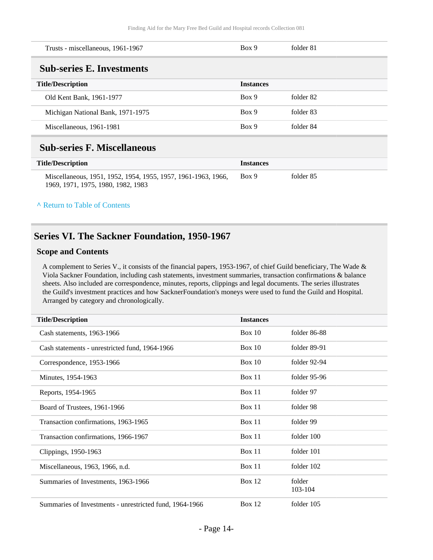<span id="page-13-0"></span>

| Trusts - miscellaneous, 1961-1967 | Box 9            | folder 81 |
|-----------------------------------|------------------|-----------|
| <b>Sub-series E. Investments</b>  |                  |           |
| <b>Title/Description</b>          | <b>Instances</b> |           |
| Old Kent Bank, 1961-1977          | Box 9            | folder 82 |
| Michigan National Bank, 1971-1975 | Box 9            | folder 83 |
| Miscellaneous, 1961-1981          | Box 9            | folder 84 |
|                                   |                  |           |

## <span id="page-13-1"></span>**Sub-series F. Miscellaneous**

| <b>Title/Description</b>                                                                            | Instances |           |
|-----------------------------------------------------------------------------------------------------|-----------|-----------|
| Miscellaneous, 1951, 1952, 1954, 1955, 1957, 1961-1963, 1966,<br>1969, 1971, 1975, 1980, 1982, 1983 | Box 9     | folder 85 |

#### **^** [Return to Table of Contents](#page-1-0)

## <span id="page-13-2"></span>**Series VI. The Sackner Foundation, 1950-1967**

#### **Scope and Contents**

A complement to Series V., it consists of the financial papers, 1953-1967, of chief Guild beneficiary, The Wade & Viola Sackner Foundation, including cash statements, investment summaries, transaction confirmations & balance sheets. Also included are correspondence, minutes, reports, clippings and legal documents. The series illustrates the Guild's investment practices and how SacknerFoundation's moneys were used to fund the Guild and Hospital. Arranged by category and chronologically.

| <b>Title/Description</b>                                | <b>Instances</b> |                   |
|---------------------------------------------------------|------------------|-------------------|
| Cash statements, 1963-1966                              | Box 10           | folder 86-88      |
| Cash statements - unrestricted fund, 1964-1966          | Box 10           | folder $89-91$    |
| Correspondence, 1953-1966                               | Box 10           | folder $92-94$    |
| Minutes, 1954-1963                                      | Box 11           | folder $95-96$    |
| Reports, 1954-1965                                      | Box 11           | folder 97         |
| Board of Trustees, 1961-1966                            | Box 11           | folder 98         |
| Transaction confirmations, 1963-1965                    | Box 11           | folder 99         |
| Transaction confirmations, 1966-1967                    | Box 11           | folder 100        |
| Clippings, 1950-1963                                    | Box 11           | folder 101        |
| Miscellaneous, 1963, 1966, n.d.                         | Box 11           | folder 102        |
| Summaries of Investments, 1963-1966                     | Box $12$         | folder<br>103-104 |
| Summaries of Investments - unrestricted fund, 1964-1966 | Box $12$         | folder 105        |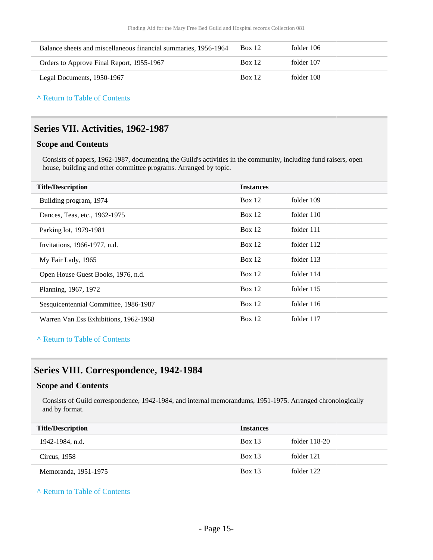| Balance sheets and miscellaneous financial summaries, 1956-1964 | <b>Box 12</b> | folder 106 |
|-----------------------------------------------------------------|---------------|------------|
| Orders to Approve Final Report, 1955-1967                       | Box 12        | folder 107 |
| Legal Documents, 1950-1967                                      | <b>Box 12</b> | folder 108 |

**^** [Return to Table of Contents](#page-1-0)

## <span id="page-14-0"></span>**Series VII. Activities, 1962-1987**

#### **Scope and Contents**

Consists of papers, 1962-1987, documenting the Guild's activities in the community, including fund raisers, open house, building and other committee programs. Arranged by topic.

| <b>Title/Description</b>              | <b>Instances</b> |            |
|---------------------------------------|------------------|------------|
| Building program, 1974                | Box 12           | folder 109 |
| Dances, Teas, etc., 1962-1975         | Box 12           | folder 110 |
| Parking lot, 1979-1981                | Box 12           | folder 111 |
| Invitations, 1966-1977, n.d.          | Box 12           | folder 112 |
| My Fair Lady, 1965                    | Box 12           | folder 113 |
| Open House Guest Books, 1976, n.d.    | Box 12           | folder 114 |
| Planning, 1967, 1972                  | Box 12           | folder 115 |
| Sesquicentennial Committee, 1986-1987 | Box $12$         | folder 116 |
| Warren Van Ess Exhibitions, 1962-1968 | Box $12$         | folder 117 |

#### **^** [Return to Table of Contents](#page-1-0)

## <span id="page-14-1"></span>**Series VIII. Correspondence, 1942-1984**

### **Scope and Contents**

Consists of Guild correspondence, 1942-1984, and internal memorandums, 1951-1975. Arranged chronologically and by format.

| <b>Title/Description</b> | <b>Instances</b> |               |
|--------------------------|------------------|---------------|
| 1942-1984, n.d.          | <b>Box 13</b>    | folder 118-20 |
| Circus, 1958             | <b>Box 13</b>    | folder 121    |
| Memoranda, 1951-1975     | <b>Box 13</b>    | folder 122    |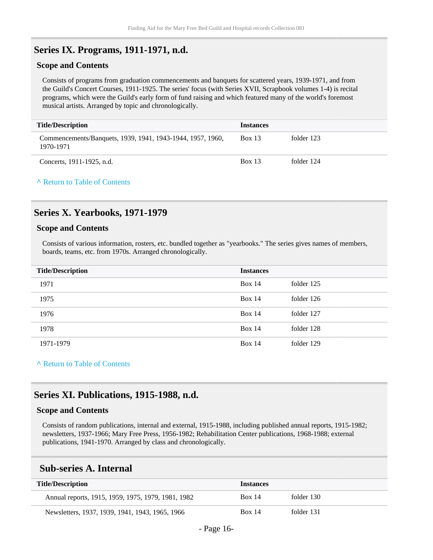## <span id="page-15-0"></span>**Series IX. Programs, 1911-1971, n.d.**

#### **Scope and Contents**

Consists of programs from graduation commencements and banquets for scattered years, 1939-1971, and from the Guild's Concert Courses, 1911-1925. The series' focus (with Series XVII, Scrapbook volumes 1-4) is recital programs, which were the Guild's early form of fund raising and which featured many of the world's foremost musical artists. Arranged by topic and chronologically.

| <b>Title/Description</b>                                                | <b>Instances</b> |            |
|-------------------------------------------------------------------------|------------------|------------|
| Commencements/Banquets, 1939, 1941, 1943-1944, 1957, 1960,<br>1970-1971 | <b>Box 13</b>    | folder 123 |
| Concerts, 1911-1925, n.d.                                               | <b>Box 13</b>    | folder 124 |

#### **^** [Return to Table of Contents](#page-1-0)

### <span id="page-15-1"></span>**Series X. Yearbooks, 1971-1979**

#### **Scope and Contents**

Consists of various information, rosters, etc. bundled together as "yearbooks." The series gives names of members, boards, teams, etc. from 1970s. Arranged chronologically.

| <b>Title/Description</b> | <b>Instances</b> |            |
|--------------------------|------------------|------------|
| 1971                     | Box $14$         | folder 125 |
| 1975                     | <b>Box 14</b>    | folder 126 |
| 1976                     | <b>Box 14</b>    | folder 127 |
| 1978                     | Box $14$         | folder 128 |
| 1971-1979                | Box $14$         | folder 129 |

#### **^** [Return to Table of Contents](#page-1-0)

### <span id="page-15-2"></span>**Series XI. Publications, 1915-1988, n.d.**

#### **Scope and Contents**

Consists of random publications, internal and external, 1915-1988, including published annual reports, 1915-1982; newsletters, 1937-1966; Mary Free Press, 1956-1982; Rehabilitation Center publications, 1968-1988; external publications, 1941-1970. Arranged by class and chronologically.

#### <span id="page-15-3"></span>**Sub-series A. Internal**

| <b>Title/Description</b>                           | <b>Instances</b> |            |
|----------------------------------------------------|------------------|------------|
| Annual reports, 1915, 1959, 1975, 1979, 1981, 1982 | <b>Box 14</b>    | folder 130 |
| Newsletters, 1937, 1939, 1941, 1943, 1965, 1966    | Box 14           | folder 131 |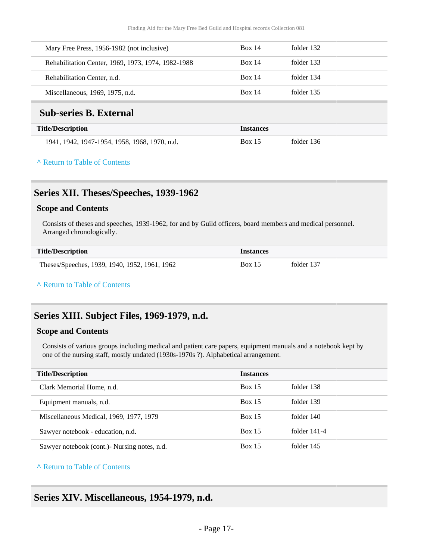| Mary Free Press, 1956-1982 (not inclusive)         | Box 14 | folder 132 |
|----------------------------------------------------|--------|------------|
| Rehabilitation Center, 1969, 1973, 1974, 1982-1988 | Box 14 | folder 133 |
| Rehabilitation Center, n.d.                        | Box 14 | folder 134 |
| Miscellaneous, 1969, 1975, n.d.                    | Box 14 | folder 135 |
|                                                    |        |            |

## <span id="page-16-0"></span>**Sub-series B. External**

| <b>Title/Description</b>                      | <b>Instances</b> |            |
|-----------------------------------------------|------------------|------------|
| 1941, 1942, 1947-1954, 1958, 1968, 1970, n.d. | <b>Box 15</b>    | folder 136 |

#### **^** [Return to Table of Contents](#page-1-0)

## <span id="page-16-1"></span>**Series XII. Theses/Speeches, 1939-1962**

#### **Scope and Contents**

Consists of theses and speeches, 1939-1962, for and by Guild officers, board members and medical personnel. Arranged chronologically.

| <b>Title/Description</b>                      | <i>Instances</i> |            |
|-----------------------------------------------|------------------|------------|
| Theses/Speeches, 1939, 1940, 1952, 1961, 1962 | <b>Box 15</b>    | folder 137 |

#### **^** [Return to Table of Contents](#page-1-0)

## <span id="page-16-2"></span>**Series XIII. Subject Files, 1969-1979, n.d.**

#### **Scope and Contents**

Consists of various groups including medical and patient care papers, equipment manuals and a notebook kept by one of the nursing staff, mostly undated (1930s-1970s ?). Alphabetical arrangement.

| <b>Title/Description</b>                    | <b>Instances</b> |                |
|---------------------------------------------|------------------|----------------|
| Clark Memorial Home, n.d.                   | <b>Box 15</b>    | folder 138     |
| Equipment manuals, n.d.                     | <b>Box 15</b>    | folder 139     |
| Miscellaneous Medical, 1969, 1977, 1979     | <b>Box 15</b>    | folder 140     |
| Sawyer notebook - education, n.d.           | <b>Box 15</b>    | folder $141-4$ |
| Sawyer notebook (cont.) Nursing notes, n.d. | <b>Box 15</b>    | folder 145     |

### **^** [Return to Table of Contents](#page-1-0)

## <span id="page-16-3"></span>**Series XIV. Miscellaneous, 1954-1979, n.d.**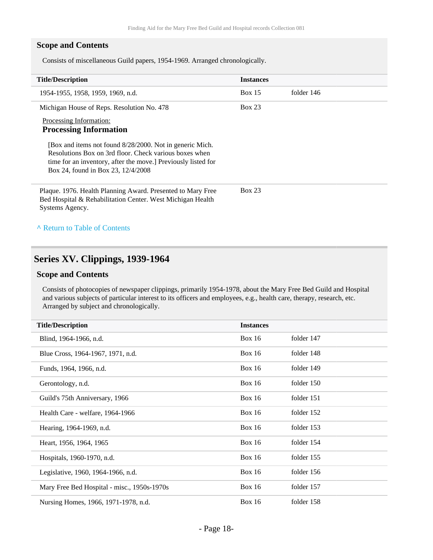### **Scope and Contents**

Consists of miscellaneous Guild papers, 1954-1969. Arranged chronologically.

| <b>Title/Description</b>                                                                                                                                                                                                   | <b>Instances</b> |            |
|----------------------------------------------------------------------------------------------------------------------------------------------------------------------------------------------------------------------------|------------------|------------|
| 1954-1955, 1958, 1959, 1969, n.d.                                                                                                                                                                                          | Box 15           | folder 146 |
| Michigan House of Reps. Resolution No. 478                                                                                                                                                                                 | <b>Box 23</b>    |            |
| Processing Information:                                                                                                                                                                                                    |                  |            |
| <b>Processing Information</b>                                                                                                                                                                                              |                  |            |
| [Box and items not found 8/28/2000. Not in generic Mich.]<br>Resolutions Box on 3rd floor. Check various boxes when<br>time for an inventory, after the move.] Previously listed for<br>Box 24, found in Box 23, 12/4/2008 |                  |            |
| Plaque. 1976. Health Planning Award. Presented to Mary Free<br>Bed Hospital & Rehabilitation Center. West Michigan Health<br>Systems Agency.                                                                               | Box 23           |            |
| A Return to Table of Contents                                                                                                                                                                                              |                  |            |

## <span id="page-17-0"></span>**Series XV. Clippings, 1939-1964**

#### **Scope and Contents**

Consists of photocopies of newspaper clippings, primarily 1954-1978, about the Mary Free Bed Guild and Hospital and various subjects of particular interest to its officers and employees, e.g., health care, therapy, research, etc. Arranged by subject and chronologically.

| <b>Title/Description</b>                    | <b>Instances</b> |            |
|---------------------------------------------|------------------|------------|
| Blind, 1964-1966, n.d.                      | <b>Box 16</b>    | folder 147 |
| Blue Cross, 1964-1967, 1971, n.d.           | Box $16$         | folder 148 |
| Funds, 1964, 1966, n.d.                     | Box $16$         | folder 149 |
| Gerontology, n.d.                           | Box $16$         | folder 150 |
| Guild's 75th Anniversary, 1966              | <b>Box 16</b>    | folder 151 |
| Health Care - welfare, 1964-1966            | Box $16$         | folder 152 |
| Hearing, 1964-1969, n.d.                    | <b>Box 16</b>    | folder 153 |
| Heart, 1956, 1964, 1965                     | <b>Box 16</b>    | folder 154 |
| Hospitals, 1960-1970, n.d.                  | Box $16$         | folder 155 |
| Legislative, 1960, 1964-1966, n.d.          | <b>Box 16</b>    | folder 156 |
| Mary Free Bed Hospital - misc., 1950s-1970s | Box $16$         | folder 157 |
| Nursing Homes, 1966, 1971-1978, n.d.        | <b>Box 16</b>    | folder 158 |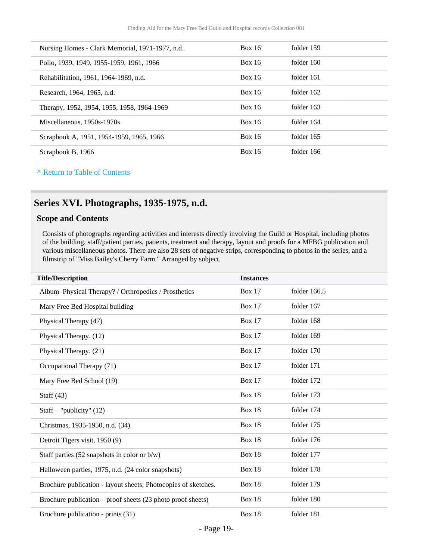| Nursing Homes - Clark Memorial, 1971-1977, n.d. | <b>Box 16</b> | folder 159 |
|-------------------------------------------------|---------------|------------|
| Polio, 1939, 1949, 1955-1959, 1961, 1966        | <b>Box 16</b> | folder 160 |
| Rehabilitation, 1961, 1964-1969, n.d.           | <b>Box 16</b> | folder 161 |
| Research, 1964, 1965, n.d.                      | <b>Box 16</b> | folder 162 |
| Therapy, 1952, 1954, 1955, 1958, 1964-1969      | <b>Box 16</b> | folder 163 |
| Miscellaneous, 1950s-1970s                      | <b>Box 16</b> | folder 164 |
| Scrapbook A, 1951, 1954-1959, 1965, 1966        | Box 16        | folder 165 |
| Scrapbook B, 1966                               | <b>Box 16</b> | folder 166 |
|                                                 |               |            |

**^** [Return to Table of Contents](#page-1-0)

## <span id="page-18-0"></span>**Series XVI. Photographs, 1935-1975, n.d.**

### **Scope and Contents**

Consists of photographs regarding activities and interests directly involving the Guild or Hospital, including photos of the building, staff/patient parties, patients, treatment and therapy, layout and proofs for a MFBG publication and various miscellaneous photos. There are also 28 sets of negative strips, corresponding to photos in the series, and a filmstrip of "Miss Bailey's Cherry Farm." Arranged by subject.

| <b>Title/Description</b>                                       | <b>Instances</b> |              |
|----------------------------------------------------------------|------------------|--------------|
| Album-Physical Therapy? / Orthropedics / Prosthetics           | <b>Box 17</b>    | folder 166.5 |
| Mary Free Bed Hospital building                                | Box $17$         | folder 167   |
| Physical Therapy (47)                                          | <b>Box 17</b>    | folder 168   |
| Physical Therapy. (12)                                         | <b>Box 17</b>    | folder 169   |
| Physical Therapy. (21)                                         | <b>Box 17</b>    | folder 170   |
| Occupational Therapy (71)                                      | Box $17$         | folder 171   |
| Mary Free Bed School (19)                                      | <b>Box 17</b>    | folder 172   |
| Staff $(43)$                                                   | <b>Box 18</b>    | folder 173   |
| Staff – "publicity" $(12)$                                     | <b>Box 18</b>    | folder 174   |
| Christmas, 1935-1950, n.d. (34)                                | <b>Box 18</b>    | folder 175   |
| Detroit Tigers visit, 1950 (9)                                 | <b>Box 18</b>    | folder 176   |
| Staff parties (52 snapshots in color or $b/w$ )                | Box 18           | folder 177   |
| Halloween parties, 1975, n.d. (24 color snapshots)             | <b>Box 18</b>    | folder 178   |
| Brochure publication - layout sheets; Photocopies of sketches. | <b>Box 18</b>    | folder 179   |
| Brochure publication – proof sheets (23 photo proof sheets)    | <b>Box 18</b>    | folder 180   |
| Brochure publication - prints (31)                             | <b>Box 18</b>    | folder 181   |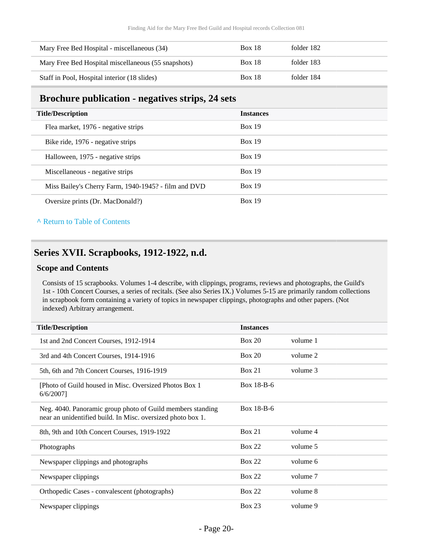| Mary Free Bed Hospital - miscellaneous (34)         | <b>Box 18</b> | folder 182 |
|-----------------------------------------------------|---------------|------------|
| Mary Free Bed Hospital miscellaneous (55 snapshots) | <b>Box 18</b> | folder 183 |
| Staff in Pool, Hospital interior (18 slides)        | <b>Box 18</b> | folder 184 |

## <span id="page-19-0"></span>**Brochure publication - negatives strips, 24 sets**

| <b>Title/Description</b>                             | <b>Instances</b> |
|------------------------------------------------------|------------------|
| Flea market, 1976 - negative strips                  | <b>Box 19</b>    |
| Bike ride, 1976 - negative strips                    | <b>Box 19</b>    |
| Halloween, 1975 - negative strips                    | <b>Box 19</b>    |
| Miscellaneous - negative strips                      | Box 19           |
| Miss Bailey's Cherry Farm, 1940-1945? - film and DVD | Box 19           |
| Oversize prints (Dr. MacDonald?)                     | <b>Box 19</b>    |
|                                                      |                  |

**^** [Return to Table of Contents](#page-1-0)

## <span id="page-19-1"></span>**Series XVII. Scrapbooks, 1912-1922, n.d.**

#### **Scope and Contents**

Consists of 15 scrapbooks. Volumes 1-4 describe, with clippings, programs, reviews and photographs, the Guild's 1st - 10th Concert Courses, a series of recitals. (See also Series IX.) Volumes 5-15 are primarily random collections in scrapbook form containing a variety of topics in newspaper clippings, photographs and other papers. (Not indexed) Arbitrary arrangement.

| <b>Title/Description</b>                                                                                                  | <b>Instances</b> |          |
|---------------------------------------------------------------------------------------------------------------------------|------------------|----------|
| 1st and 2nd Concert Courses, 1912-1914                                                                                    | Box 20           | volume 1 |
| 3rd and 4th Concert Courses, 1914-1916                                                                                    | Box 20           | volume 2 |
| 5th, 6th and 7th Concert Courses, 1916-1919                                                                               | Box 21           | volume 3 |
| [Photo of Guild housed in Misc. Oversized Photos Box 1]<br>$6/6/2007$ ]                                                   | Box 18-B-6       |          |
| Neg. 4040. Panoramic group photo of Guild members standing<br>near an unidentified build. In Misc. oversized photo box 1. | Box 18-B-6       |          |
| 8th, 9th and 10th Concert Courses, 1919-1922                                                                              | Box 21           | volume 4 |
| Photographs                                                                                                               | <b>Box 22</b>    | volume 5 |
| Newspaper clippings and photographs                                                                                       | <b>Box 22</b>    | volume 6 |
| Newspaper clippings                                                                                                       | <b>Box 22</b>    | volume 7 |
| Orthopedic Cases - convalescent (photographs)                                                                             | <b>Box 22</b>    | volume 8 |
| Newspaper clippings                                                                                                       | <b>Box 23</b>    | volume 9 |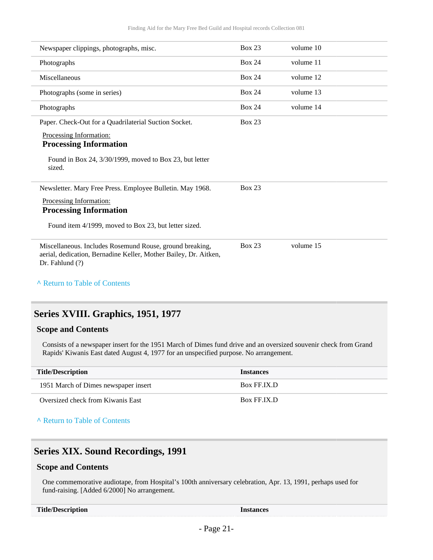| Newspaper clippings, photographs, misc.                                                                                                         | <b>Box 23</b> | volume 10 |
|-------------------------------------------------------------------------------------------------------------------------------------------------|---------------|-----------|
| Photographs                                                                                                                                     | <b>Box 24</b> | volume 11 |
| Miscellaneous                                                                                                                                   | <b>Box 24</b> | volume 12 |
| Photographs (some in series)                                                                                                                    | <b>Box 24</b> | volume 13 |
| Photographs                                                                                                                                     | <b>Box 24</b> | volume 14 |
| Paper. Check-Out for a Quadrilaterial Suction Socket.                                                                                           | Box 23        |           |
| Processing Information:<br><b>Processing Information</b>                                                                                        |               |           |
| Found in Box 24, $3/30/1999$ , moved to Box 23, but letter<br>sized.                                                                            |               |           |
| Newsletter. Mary Free Press. Employee Bulletin. May 1968.<br>Processing Information:<br><b>Processing Information</b>                           | <b>Box 23</b> |           |
| Found item 4/1999, moved to Box 23, but letter sized.                                                                                           |               |           |
| Miscellaneous. Includes Rosemund Rouse, ground breaking,<br>aerial, dedication, Bernadine Keller, Mother Bailey, Dr. Aitken,<br>Dr. Fahlund (?) | <b>Box 23</b> | volume 15 |

#### **^** [Return to Table of Contents](#page-1-0)

## <span id="page-20-0"></span>**Series XVIII. Graphics, 1951, 1977**

#### **Scope and Contents**

Consists of a newspaper insert for the 1951 March of Dimes fund drive and an oversized souvenir check from Grand Rapids' Kiwanis East dated August 4, 1977 for an unspecified purpose. No arrangement.

| <b>Title/Description</b>             | <b>Instances</b> |
|--------------------------------------|------------------|
| 1951 March of Dimes newspaper insert | Box FF.IX.D      |
| Oversized check from Kiwanis East    | Box FF.IX.D      |

### **^** [Return to Table of Contents](#page-1-0)

## <span id="page-20-1"></span>**Series XIX. Sound Recordings, 1991**

#### **Scope and Contents**

One commemorative audiotape, from Hospital's 100th anniversary celebration, Apr. 13, 1991, perhaps used for fund-raising. [Added 6/2000] No arrangement.

**Title/Description Instances**